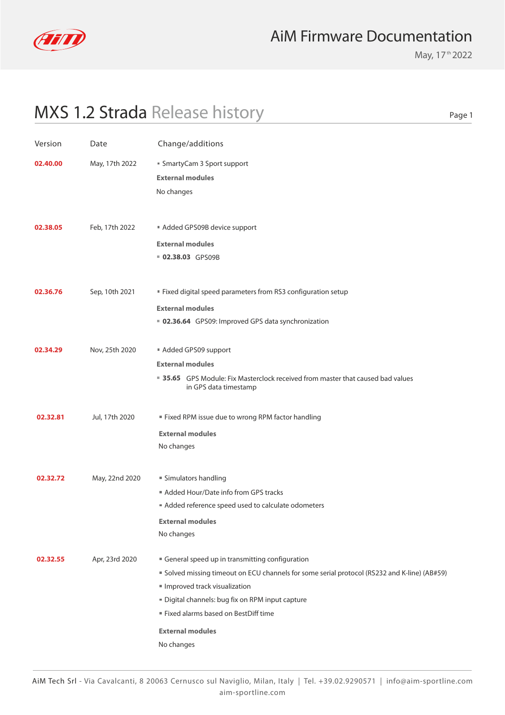

May, 17<sup>th</sup> 2022

Page 1

# MXS 1.2 Strada Release history

| Version  | Date           | Change/additions                                                                                         |
|----------|----------------|----------------------------------------------------------------------------------------------------------|
| 02.40.00 | May, 17th 2022 | ■ SmartyCam 3 Sport support<br><b>External modules</b>                                                   |
|          |                | No changes                                                                                               |
| 02.38.05 | Feb, 17th 2022 | Added GPS09B device support                                                                              |
|          |                | <b>External modules</b>                                                                                  |
|          |                | 02.38.03 GPS09B                                                                                          |
| 02.36.76 | Sep, 10th 2021 | " Fixed digital speed parameters from RS3 configuration setup                                            |
|          |                | <b>External modules</b>                                                                                  |
|          |                | ■ 02.36.64 GPS09: Improved GPS data synchronization                                                      |
| 02.34.29 | Nov, 25th 2020 | Added GPS09 support                                                                                      |
|          |                | <b>External modules</b>                                                                                  |
|          |                | ■ 35.65 GPS Module: Fix Masterclock received from master that caused bad values<br>in GPS data timestamp |
| 02.32.81 | Jul, 17th 2020 | " Fixed RPM issue due to wrong RPM factor handling                                                       |
|          |                | <b>External modules</b>                                                                                  |
|          |                | No changes                                                                                               |
| 02.32.72 | May, 22nd 2020 | " Simulators handling                                                                                    |
|          |                | Added Hour/Date info from GPS tracks                                                                     |
|          |                | Added reference speed used to calculate odometers                                                        |
|          |                | <b>External modules</b>                                                                                  |
|          |                | No changes                                                                                               |
| 02.32.55 | Apr, 23rd 2020 | General speed up in transmitting configuration                                                           |
|          |                | " Solved missing timeout on ECU channels for some serial protocol (RS232 and K-line) (AB#59)             |
|          |                | Improved track visualization                                                                             |
|          |                | " Digital channels: bug fix on RPM input capture                                                         |
|          |                | Fixed alarms based on BestDiff time                                                                      |
|          |                | <b>External modules</b>                                                                                  |
|          |                | No changes                                                                                               |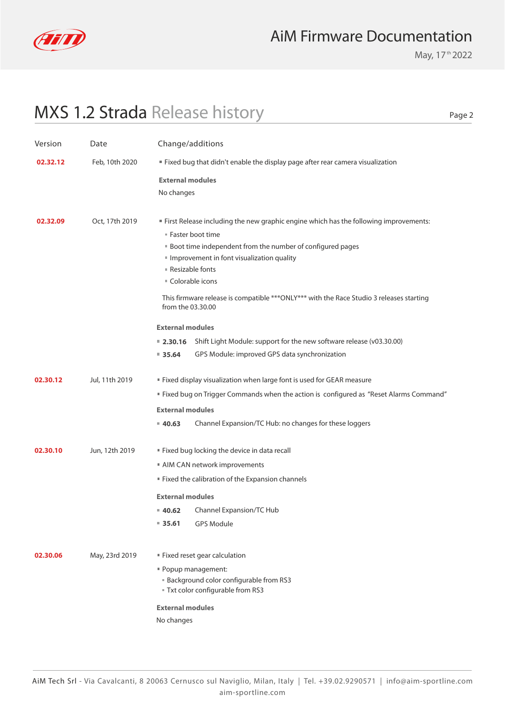

May, 17<sup>th</sup> 2022

Page 2

# MXS 1.2 Strada Release history

| Version  | Date           | Change/additions                                                                                              |
|----------|----------------|---------------------------------------------------------------------------------------------------------------|
| 02.32.12 | Feb, 10th 2020 | Fixed bug that didn't enable the display page after rear camera visualization                                 |
|          |                | <b>External modules</b>                                                                                       |
|          |                | No changes                                                                                                    |
|          |                |                                                                                                               |
| 02.32.09 | Oct, 17th 2019 | " First Release including the new graphic engine which has the following improvements:                        |
|          |                | ■ Faster boot time                                                                                            |
|          |                | <b>Boot time independent from the number of configured pages</b>                                              |
|          |                | Improvement in font visualization quality<br>■ Resizable fonts                                                |
|          |                | ■ Colorable icons                                                                                             |
|          |                | This firmware release is compatible *** ONLY*** with the Race Studio 3 releases starting<br>from the 03.30.00 |
|          |                | <b>External modules</b>                                                                                       |
|          |                | ■ 2.30.16 Shift Light Module: support for the new software release (v03.30.00)                                |
|          |                | GPS Module: improved GPS data synchronization<br>935.64                                                       |
| 02.30.12 | Jul, 11th 2019 | " Fixed display visualization when large font is used for GEAR measure                                        |
|          |                | " Fixed bug on Trigger Commands when the action is configured as "Reset Alarms Command"                       |
|          |                | <b>External modules</b>                                                                                       |
|          |                | Channel Expansion/TC Hub: no changes for these loggers<br>40.63                                               |
| 02.30.10 | Jun, 12th 2019 | " Fixed bug locking the device in data recall                                                                 |
|          |                | AIM CAN network improvements                                                                                  |
|          |                | " Fixed the calibration of the Expansion channels                                                             |
|          |                | <b>External modules</b>                                                                                       |
|          |                | ■ 40.62 Channel Expansion/TC Hub                                                                              |
|          |                | $= 35.61$<br><b>GPS Module</b>                                                                                |
| 02.30.06 | May, 23rd 2019 | Fixed reset gear calculation                                                                                  |
|          |                | " Popup management:                                                                                           |
|          |                | <b>Background color configurable from RS3</b>                                                                 |
|          |                | " Txt color configurable from RS3                                                                             |
|          |                | <b>External modules</b>                                                                                       |
|          |                | No changes                                                                                                    |
|          |                |                                                                                                               |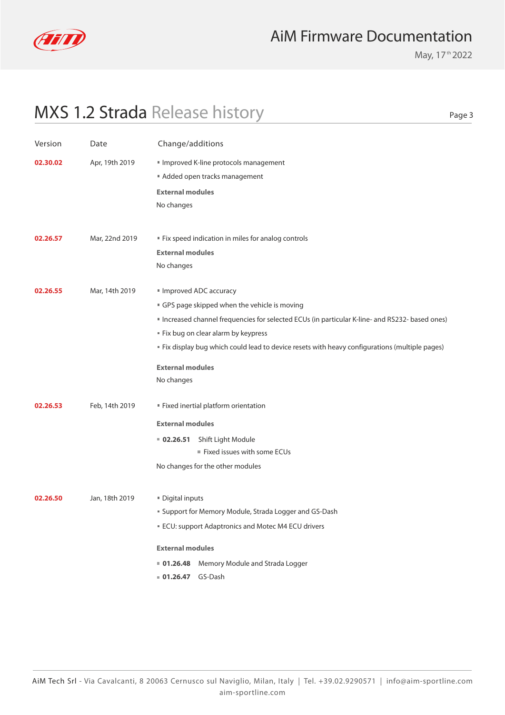

May, 17<sup>th</sup> 2022

Page 3

# MXS 1.2 Strada Release history

| Version  | Date           | Change/additions                                                                                |
|----------|----------------|-------------------------------------------------------------------------------------------------|
| 02.30.02 | Apr, 19th 2019 | Improved K-line protocols management                                                            |
|          |                | Added open tracks management                                                                    |
|          |                | <b>External modules</b>                                                                         |
|          |                | No changes                                                                                      |
|          |                |                                                                                                 |
| 02.26.57 | Mar, 22nd 2019 | " Fix speed indication in miles for analog controls                                             |
|          |                | <b>External modules</b>                                                                         |
|          |                | No changes                                                                                      |
| 02.26.55 |                |                                                                                                 |
|          | Mar, 14th 2019 | Improved ADC accuracy<br>GPS page skipped when the vehicle is moving                            |
|          |                | " Increased channel frequencies for selected ECUs (in particular K-line- and RS232- based ones) |
|          |                | " Fix bug on clear alarm by keypress                                                            |
|          |                | " Fix display bug which could lead to device resets with heavy configurations (multiple pages)  |
|          |                |                                                                                                 |
|          |                | <b>External modules</b>                                                                         |
|          |                | No changes                                                                                      |
| 02.26.53 | Feb, 14th 2019 | " Fixed inertial platform orientation                                                           |
|          |                | <b>External modules</b>                                                                         |
|          |                | Shift Light Module<br>02.26.51                                                                  |
|          |                | Fixed issues with some ECUs                                                                     |
|          |                | No changes for the other modules                                                                |
|          |                |                                                                                                 |
| 02.26.50 | Jan, 18th 2019 | Digital inputs                                                                                  |
|          |                | ■ Support for Memory Module, Strada Logger and GS-Dash                                          |
|          |                | ECU: support Adaptronics and Motec M4 ECU drivers                                               |
|          |                | <b>External modules</b>                                                                         |
|          |                | <b>01.26.48</b> Memory Module and Strada Logger                                                 |
|          |                | 01.26.47 GS-Dash                                                                                |
|          |                |                                                                                                 |